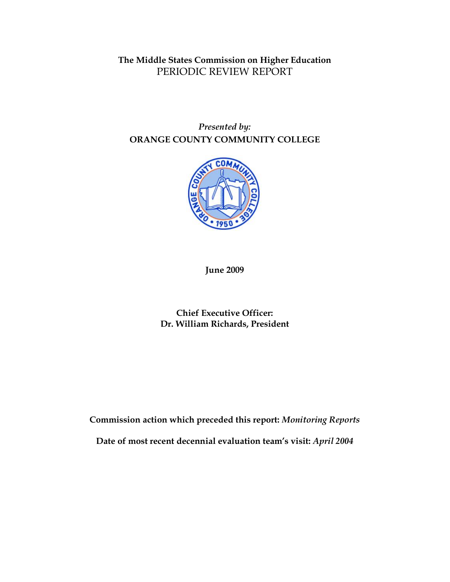## **The Middle States Commission on Higher Education** PERIODIC REVIEW REPORT

## *Presented by:* **ORANGE COUNTY COMMUNITY COLLEGE**



**June 2009** 

**Chief Executive Officer: Dr. William Richards, President**

**Commission action which preceded this report:** *Monitoring Reports*

**Date of most recent decennial evaluation team's visit:** *April 2004*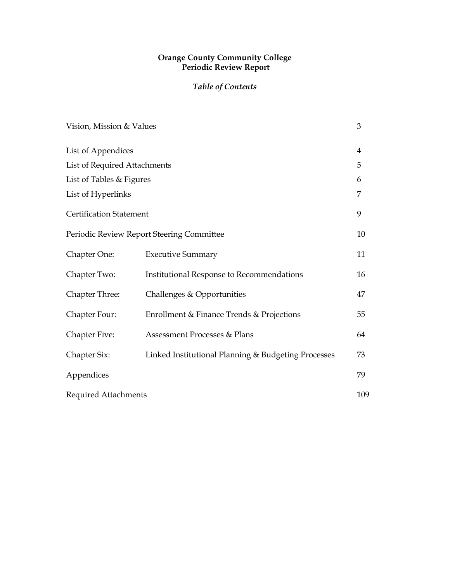#### **Orange County Community College Periodic Review Report**

## *Table of Contents*

| Vision, Mission & Values                  |                                                     | 3              |
|-------------------------------------------|-----------------------------------------------------|----------------|
| List of Appendices                        |                                                     | $\overline{4}$ |
| List of Required Attachments              |                                                     | 5              |
| List of Tables & Figures                  |                                                     | 6              |
| List of Hyperlinks                        |                                                     | 7              |
| <b>Certification Statement</b>            |                                                     | 9              |
| Periodic Review Report Steering Committee |                                                     | 10             |
| Chapter One:                              | <b>Executive Summary</b>                            | 11             |
| Chapter Two:                              | Institutional Response to Recommendations           | 16             |
| <b>Chapter Three:</b>                     | Challenges & Opportunities                          | 47             |
| Chapter Four:                             | Enrollment & Finance Trends & Projections           | 55             |
| <b>Chapter Five:</b>                      | Assessment Processes & Plans                        | 64             |
| Chapter Six:                              | Linked Institutional Planning & Budgeting Processes | 73             |
| Appendices                                |                                                     | 79             |
| <b>Required Attachments</b>               |                                                     | 109            |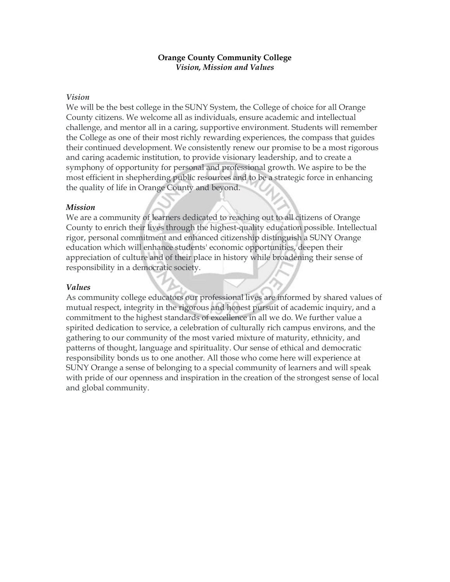#### **Orange County Community College** *Vision, Mission and Values*

#### *Vision*

We will be the best college in the SUNY System, the College of choice for all Orange County citizens. We welcome all as individuals, ensure academic and intellectual challenge, and mentor all in a caring, supportive environment. Students will remember the College as one of their most richly rewarding experiences, the compass that guides their continued development. We consistently renew our promise to be a most rigorous and caring academic institution, to provide visionary leadership, and to create a symphony of opportunity for personal and professional growth. We aspire to be the most efficient in shepherding public resources and to be a strategic force in enhancing the quality of life in Orange County and beyond.

#### *Mission*

We are a community of learners dedicated to reaching out to all citizens of Orange County to enrich their lives through the highest-quality education possible. Intellectual rigor, personal commitment and enhanced citizenship distinguish a SUNY Orange education which will enhance students' economic opportunities, deepen their appreciation of culture and of their place in history while broadening their sense of responsibility in a democratic society.

#### *Values*

As community college educators our professional lives are informed by shared values of mutual respect, integrity in the rigorous and honest pursuit of academic inquiry, and a commitment to the highest standards of excellence in all we do. We further value a spirited dedication to service, a celebration of culturally rich campus environs, and the gathering to our community of the most varied mixture of maturity, ethnicity, and patterns of thought, language and spirituality. Our sense of ethical and democratic responsibility bonds us to one another. All those who come here will experience at SUNY Orange a sense of belonging to a special community of learners and will speak with pride of our openness and inspiration in the creation of the strongest sense of local and global community.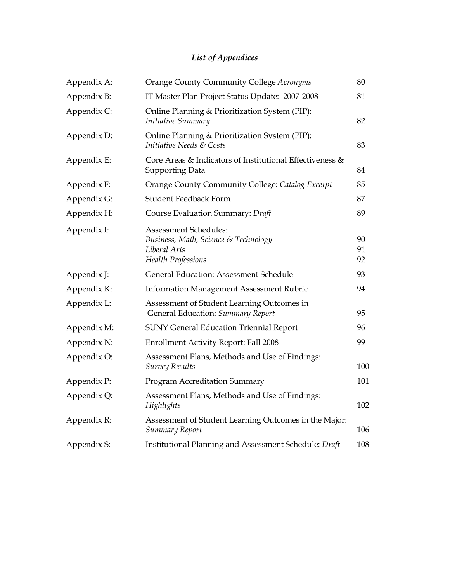# *List of Appendices*

| Appendix A: | Orange County Community College Acronyms<br>80                                                             |                |
|-------------|------------------------------------------------------------------------------------------------------------|----------------|
| Appendix B: | IT Master Plan Project Status Update: 2007-2008                                                            |                |
| Appendix C: | Online Planning & Prioritization System (PIP):<br>Initiative Summary                                       | 82             |
| Appendix D: | Online Planning & Prioritization System (PIP):<br>Initiative Needs & Costs                                 | 83             |
| Appendix E: | Core Areas & Indicators of Institutional Effectiveness &<br><b>Supporting Data</b>                         | 84             |
| Appendix F: | Orange County Community College: Catalog Excerpt                                                           | 85             |
| Appendix G: | <b>Student Feedback Form</b>                                                                               | 87             |
| Appendix H: | Course Evaluation Summary: Draft                                                                           | 89             |
| Appendix I: | Assessment Schedules:<br>Business, Math, Science & Technology<br>Liberal Arts<br><b>Health Professions</b> | 90<br>91<br>92 |
| Appendix J: | General Education: Assessment Schedule                                                                     | 93             |
| Appendix K: | <b>Information Management Assessment Rubric</b>                                                            | 94             |
| Appendix L: | Assessment of Student Learning Outcomes in<br>General Education: Summary Report                            | 95             |
| Appendix M: | <b>SUNY General Education Triennial Report</b>                                                             | 96             |
| Appendix N: | <b>Enrollment Activity Report: Fall 2008</b>                                                               | 99             |
| Appendix O: | Assessment Plans, Methods and Use of Findings:<br><b>Survey Results</b>                                    | 100            |
| Appendix P: | <b>Program Accreditation Summary</b>                                                                       | 101            |
| Appendix Q: | Assessment Plans, Methods and Use of Findings:<br>Highlights                                               | 102            |
| Appendix R: | Assessment of Student Learning Outcomes in the Major:<br>Summary Report                                    | 106            |
| Appendix S: | Institutional Planning and Assessment Schedule: Draft                                                      | 108            |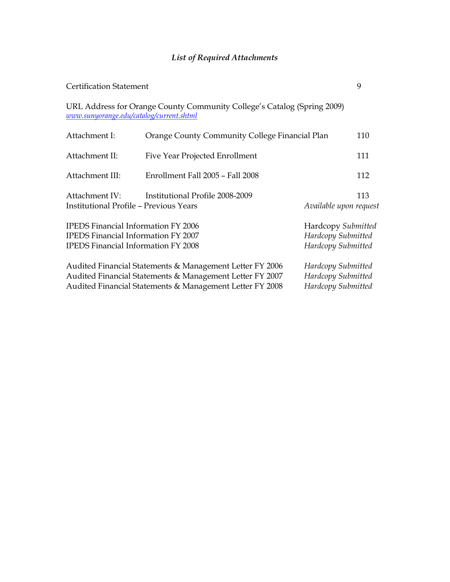## *List of Required Attachments*

| <b>Certification Statement</b>                                                                                                         |                                                                                                                                                                                  |                                                                | 9                                                              |  |
|----------------------------------------------------------------------------------------------------------------------------------------|----------------------------------------------------------------------------------------------------------------------------------------------------------------------------------|----------------------------------------------------------------|----------------------------------------------------------------|--|
| www.sunyorange.edu/catalog/current.shtml                                                                                               | URL Address for Orange County Community College's Catalog (Spring 2009)                                                                                                          |                                                                |                                                                |  |
| Attachment I:                                                                                                                          | Orange County Community College Financial Plan                                                                                                                                   |                                                                | 110                                                            |  |
| Attachment II:                                                                                                                         | Five Year Projected Enrollment                                                                                                                                                   |                                                                | 111                                                            |  |
| Attachment III:                                                                                                                        | Enrollment Fall 2005 - Fall 2008                                                                                                                                                 |                                                                | 112                                                            |  |
| Attachment IV:<br><b>Institutional Profile - Previous Years</b>                                                                        | Institutional Profile 2008-2009                                                                                                                                                  | Available upon request                                         | 113                                                            |  |
| <b>IPEDS</b> Financial Information FY 2006<br><b>IPEDS</b> Financial Information FY 2007<br><b>IPEDS</b> Financial Information FY 2008 |                                                                                                                                                                                  |                                                                | Hardcopy Submitted<br>Hardcopy Submitted<br>Hardcopy Submitted |  |
|                                                                                                                                        | Audited Financial Statements & Management Letter FY 2006<br>Audited Financial Statements & Management Letter FY 2007<br>Audited Financial Statements & Management Letter FY 2008 | Hardcopy Submitted<br>Hardcopy Submitted<br>Hardcopy Submitted |                                                                |  |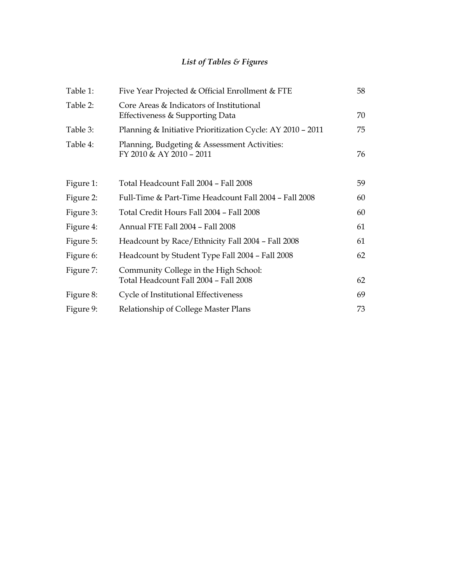## *List of Tables & Figures*

| Table 1:  | Five Year Projected & Official Enrollment & FTE                                | 58 |
|-----------|--------------------------------------------------------------------------------|----|
| Table 2:  | Core Areas & Indicators of Institutional<br>Effectiveness & Supporting Data    | 70 |
| Table 3:  | Planning & Initiative Prioritization Cycle: AY 2010 - 2011                     | 75 |
| Table 4:  | Planning, Budgeting & Assessment Activities:<br>FY 2010 & AY 2010 - 2011       | 76 |
| Figure 1: | Total Headcount Fall 2004 - Fall 2008                                          | 59 |
| Figure 2: | Full-Time & Part-Time Headcount Fall 2004 - Fall 2008                          | 60 |
| Figure 3: | Total Credit Hours Fall 2004 - Fall 2008                                       | 60 |
| Figure 4: | Annual FTE Fall 2004 - Fall 2008                                               | 61 |
| Figure 5: | Headcount by Race/Ethnicity Fall 2004 - Fall 2008                              | 61 |
| Figure 6: | Headcount by Student Type Fall 2004 - Fall 2008                                | 62 |
| Figure 7: | Community College in the High School:<br>Total Headcount Fall 2004 - Fall 2008 | 62 |
| Figure 8: | Cycle of Institutional Effectiveness                                           | 69 |
| Figure 9: | Relationship of College Master Plans                                           | 73 |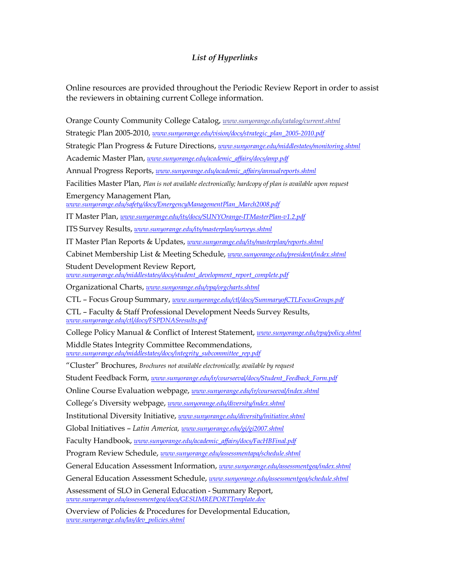### *List of Hyperlinks*

Online resources are provided throughout the Periodic Review Report in order to assist the reviewers in obtaining current College information.

Orange County Community College Catalog, *www.sunyorange.edu/catalog/current.shtml* Strategic Plan 2005-2010, *www.sunyorange.edu/vision/docs/strategic\_plan\_2005-2010.pdf* Strategic Plan Progress & Future Directions, *www.sunyorange.edu/middlestates/monitoring.shtml* Academic Master Plan, *www.sunyorange.edu/academic\_af airs/docs/amp.pdf* Annual Progress Reports, *www.sunyorange.edu/academic\_af airs/annualreports.shtml* Facilities Master Plan, *Plan is not available electronically; hardcopy of plan is available upon request* Emergency Management Plan, *www.sunyorange.edu/safety/docs/EmergencyManagementPlan\_March2008.pdf* IT Master Plan, www.sunyorange.edu/its/docs/SUNYOrange-ITMasterPlan-v1.2.pdf ITS Survey Results, *www.sunyorange.edu/its/masterplan/surveys.shtml* IT Master Plan Reports & Updates, *www.sunyorange.edu/its/masterplan/reports.shtml* Cabinet Membership List & Meeting Schedule, *www.sunyorange.edu/president/index.shtml* Student Development Review Report, *www.sunyorange.edu/middlestates/docs/student\_development\_report\_complete.pdf* Organizational Charts, *www.sunyorange.edu/vpa/orgcharts.shtml* CTL – Focus Group Summary, *www.sunyorange.edu/ctl/docs/SummaryofCTLFocusGroups.pdf* CTL – Faculty & Staff Professional Development Needs Survey Results, *www.sunyorange.edu/ctl/docs/FSPDNASresults.pdf* College Policy Manual & Conflict of Interest Statement, *www.sunyorange.edu/vpa/policy.shtml* Middle States Integrity Committee Recommendations, *www.sunyorange.edu/middlestates/docs/integrity\_subcommittee\_rep.pdf* "Cluster" Brochures, *Brochures not available electronically; available by request* Student Feedback Form, *www.sunyorange.edu/ir/courseeval/docs/Student\_Feedback\_Form.pdf* Online Course Evaluation webpage, *www.sunyorange.edu/ir/courseeval/index.shtml* College's Diversity webpage, *www.sunyorange.edu/diversity/index.shtml* Institutional Diversity Initiative, *www.sunyorange.edu/diversity/initiative.shtml* Global Initiatives – *Latin America, www.sunyorange.edu/gi/gi2007.shtml* Faculty Handbook, *www.sunyorange.edu/academic\_affairs/docs/FacHBFinal.pdf* Program Review Schedule, *www.sunyorange.edu/assessmentapa/schedule.shtml* General Education Assessment Information, *www.sunyorange.edu/assessmentgea/index.shtml* General Education Assessment Schedule, *www.sunyorange.edu/assessmentgea/schedule.shtml* Assessment of SLO in General Education - Summary Report, *www.sunyorange.edu/assessmentgea/docs/GESUMREPORTTemplate.doc*

Overview of Policies & Procedures for Developmental Education, *www.sunyorange.edu/las/dev\_policies.shtml*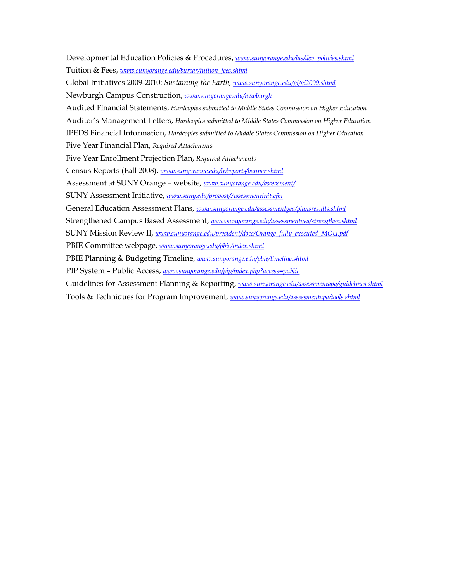Developmental Education Policies & Procedures, *www.sunyorange.edu/las/dev\_policies.shtml* Tuition & Fees, *www.sunyorange.edu/bursar/tuition\_fees.shtml* Global Initiatives 20092010: *Sustaining the Earth, www.sunyorange.edu/gi/gi2009.shtml* Newburgh Campus Construction, *www.sunyorange.edu/newburgh* Audited Financial Statements, *Hardcopies submitted to Middle States Commission on Higher Education* Auditor's Management Letters, *Hardcopies submitted to Middle States Commission on Higher Education* IPEDS Financial Information, *Hardcopies submitted to Middle States Commission on Higher Education* Five Year Financial Plan, *Required Attachments* Five Year Enrollment Projection Plan, *Required Attachments* Census Reports (Fall 2008), *www.sunyorange.edu/ir/reports/banner.shtml* Assessment at SUNY Orange – website, *www.sunyorange.edu/assessment/* SUNY Assessment Initiative, *www.suny.edu/provost/Assessmentinit.cfm* General Education Assessment Plans, *www.sunyorange.edu/assessmentgea/plansresults.shtml* Strengthened Campus Based Assessment, *www.sunyorange.edu/assessmentgea/strengthen.shtml* SUNY Mission Review II, *www.sunyorange.edu/president/docs/Orange\_fully\_executed\_MOU.pdf* PBIE Committee webpage, *www.sunyorange.edu/pbie/index.shtml* PBIE Planning & Budgeting Timeline, *www.sunyorange.edu/pbie/timeline.shtml* PIP System – Public Access, *www.sunyorange.edu/pip/index.php?access=public* Guidelines for Assessment Planning & Reporting, *www.sunyorange.edu/assessmentapa/guidelines.shtml* Tools & Techniques for Program Improvement, *www.sunyorange.edu/assessmentapa/tools.shtml*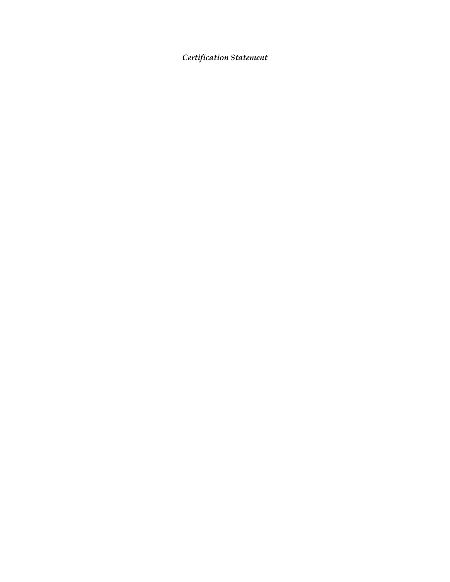*Certification Statement*